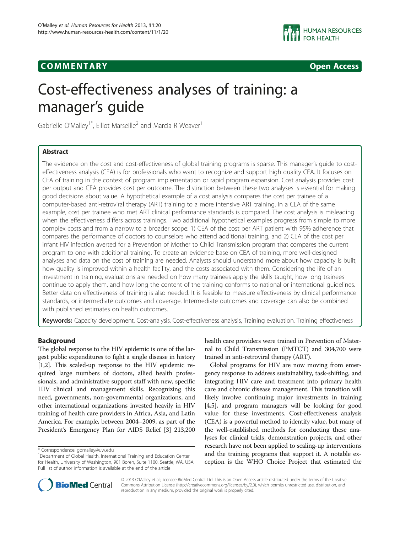# COMM EN TARY Open Access



# Cost-effectiveness analyses of training: a manager's guide

Gabrielle O'Malley<sup>1\*</sup>, Elliot Marseille<sup>2</sup> and Marcia R Weaver<sup>1</sup>

# Abstract

The evidence on the cost and cost-effectiveness of global training programs is sparse. This manager's guide to costeffectiveness analysis (CEA) is for professionals who want to recognize and support high quality CEA. It focuses on CEA of training in the context of program implementation or rapid program expansion. Cost analysis provides cost per output and CEA provides cost per outcome. The distinction between these two analyses is essential for making good decisions about value. A hypothetical example of a cost analysis compares the cost per trainee of a computer-based anti-retroviral therapy (ART) training to a more intensive ART training. In a CEA of the same example, cost per trainee who met ART clinical performance standards is compared. The cost analysis is misleading when the effectiveness differs across trainings. Two additional hypothetical examples progress from simple to more complex costs and from a narrow to a broader scope: 1) CEA of the cost per ART patient with 95% adherence that compares the performance of doctors to counselors who attend additional training, and 2) CEA of the cost per infant HIV infection averted for a Prevention of Mother to Child Transmission program that compares the current program to one with additional training. To create an evidence base on CEA of training, more well-designed analyses and data on the cost of training are needed. Analysts should understand more about how capacity is built, how quality is improved within a health facility, and the costs associated with them. Considering the life of an investment in training, evaluations are needed on how many trainees apply the skills taught, how long trainees continue to apply them, and how long the content of the training conforms to national or international guidelines. Better data on effectiveness of training is also needed. It is feasible to measure effectiveness by clinical performance standards, or intermediate outcomes and coverage. Intermediate outcomes and coverage can also be combined with published estimates on health outcomes.

Keywords: Capacity development, Cost-analysis, Cost-effectiveness analysis, Training evaluation, Training effectiveness

# Background

The global response to the HIV epidemic is one of the largest public expenditures to fight a single disease in history [[1,2](#page-7-0)]. This scaled-up response to the HIV epidemic required large numbers of doctors, allied health professionals, and administrative support staff with new, specific HIV clinical and management skills. Recognizing this need, governments, non-governmental organizations, and other international organizations invested heavily in HIV training of health care providers in Africa, Asia, and Latin America. For example, between 2004–2009, as part of the President's Emergency Plan for AIDS Relief [\[3\]](#page-7-0) 213,200 health care providers were trained in Prevention of Maternal to Child Transmission (PMTCT) and 304,700 were trained in anti-retroviral therapy (ART).

Global programs for HIV are now moving from emergency response to address sustainability, task-shifting, and integrating HIV care and treatment into primary health care and chronic disease management. This transition will likely involve continuing major investments in training [[4,5](#page-7-0)], and program managers will be looking for good value for these investments. Cost-effectiveness analysis (CEA) is a powerful method to identify value, but many of the well-established methods for conducting these analyses for clinical trials, demonstration projects, and other research have not been applied to scaling-up interventions and the training programs that support it. A notable exception is the WHO Choice Project that estimated the



© 2013 O'Malley et al.; licensee BioMed Central Ltd. This is an Open Access article distributed under the terms of the Creative Commons Attribution License [\(http://creativecommons.org/licenses/by/2.0\)](http://creativecommons.org/licenses/by/2.0), which permits unrestricted use, distribution, and reproduction in any medium, provided the original work is properly cited.

<sup>\*</sup> Correspondence: [gomalley@uw.edu](mailto:gomalley@uw.edu) <sup>1</sup>

<sup>&</sup>lt;sup>1</sup>Department of Global Health, International Training and Education Center for Health, University of Washington, 901 Boren, Suite 1100, Seattle, WA, USA Full list of author information is available at the end of the article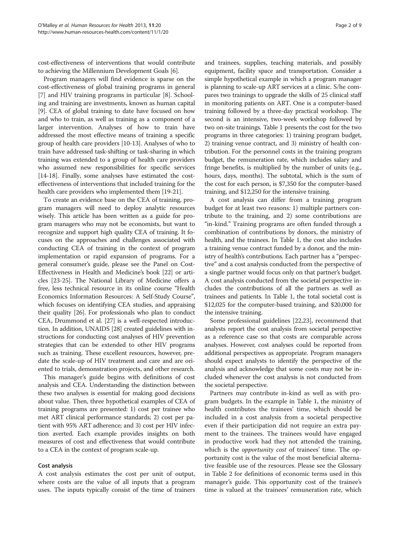cost-effectiveness of interventions that would contribute to achieving the Millennium Development Goals [\[6\]](#page-7-0).

Program managers will find evidence is sparse on the cost-effectiveness of global training programs in general [[7\]](#page-7-0) and HIV training programs in particular [[8\]](#page-7-0). Schooling and training are investments, known as human capital [[9\]](#page-7-0). CEA of global training to date have focused on how and who to train, as well as training as a component of a larger intervention. Analyses of how to train have addressed the most effective means of training a specific group of health care providers [[10](#page-7-0)-[13](#page-7-0)]. Analyses of who to train have addressed task-shifting or task-sharing in which training was extended to a group of health care providers who assumed new responsibilities for specific services [[14](#page-7-0)-[18](#page-7-0)]. Finally, some analyses have estimated the costeffectiveness of interventions that included training for the health care providers who implemented them [\[19-21\]](#page-7-0).

To create an evidence base on the CEA of training, program managers will need to deploy analytic resources wisely. This article has been written as a guide for program managers who may not be economists, but want to recognize and support high quality CEA of training. It focuses on the approaches and challenges associated with conducting CEA of training in the context of program implementation or rapid expansion of programs. For a general consumer's guide, please see the Panel on Cost-Effectiveness in Health and Medicine's book [[22](#page-7-0)] or articles [\[23-25](#page-7-0)]. The National Library of Medicine offers a free, less technical resource in its online course "Health Economics Information Resources: A Self-Study Course", which focuses on identifying CEA studies, and appraising their quality [\[26\]](#page-7-0). For professionals who plan to conduct CEA, Drummond et al. [[27](#page-7-0)] is a well-respected introduction. In addition, UNAIDS [\[28\]](#page-7-0) created guidelines with instructions for conducting cost analyses of HIV prevention strategies that can be extended to other HIV programs such as training. These excellent resources, however, predate the scale-up of HIV treatment and care and are oriented to trials, demonstration projects, and other research.

This manager's guide begins with definitions of cost analysis and CEA. Understanding the distinction between these two analyses is essential for making good decisions about value. Then, three hypothetical examples of CEA of training programs are presented: 1) cost per trainee who met ART clinical performance standards; 2) cost per patient with 95% ART adherence; and 3) cost per HIV infection averted. Each example provides insights on both measures of cost and effectiveness that would contribute to a CEA in the context of program scale-up.

#### Cost analysis

A cost analysis estimates the cost per unit of output, where costs are the value of all inputs that a program uses. The inputs typically consist of the time of trainers

and trainees, supplies, teaching materials, and possibly equipment, facility space and transportation. Consider a simple hypothetical example in which a program manager is planning to scale-up ART services at a clinic. S/he compares two trainings to upgrade the skills of 25 clinical staff in monitoring patients on ART. One is a computer-based training followed by a three-day practical workshop. The second is an intensive, two-week workshop followed by two on-site trainings. Table [1](#page-2-0) presents the cost for the two programs in three categories: 1) training program budget, 2) training venue contract, and 3) ministry of health contribution. For the personnel costs in the training program budget, the remuneration rate, which includes salary and fringe benefits, is multiplied by the number of units (e.g., hours, days, months). The subtotal, which is the sum of the cost for each person, is \$7,350 for the computer-based training, and \$12,250 for the intensive training.

A cost analysis can differ from a training program budget for at least two reasons: 1) multiple partners contribute to the training, and 2) some contributions are "in-kind." Training programs are often funded through a combination of contributions by donors, the ministry of health, and the trainees. In Table [1](#page-2-0), the cost also includes a training venue contract funded by a donor, and the ministry of health's contributions. Each partner has a "perspective" and a cost analysis conducted from the perspective of a single partner would focus only on that partner's budget. A cost analysis conducted from the societal perspective includes the contributions of all the partners as well as trainees and patients. In Table [1](#page-2-0), the total societal cost is \$12,025 for the computer-based training, and \$20,000 for the intensive training.

Some professional guidelines [\[22,23\]](#page-7-0), recommend that analysts report the cost analysis from societal perspective as a reference case so that costs are comparable across analyses. However, cost analyses could be reported from additional perspectives as appropriate. Program managers should expect analysts to identify the perspective of the analysis and acknowledge that some costs may not be included whenever the cost analysis is not conducted from the societal perspective.

Partners may contribute in-kind as well as with program budgets. In the example in Table [1](#page-2-0), the ministry of health contributes the trainees' time, which should be included in a cost analysis from a societal perspective even if their participation did not require an extra payment to the trainees. The trainees would have engaged in productive work had they not attended the training, which is the *opportunity cost* of trainees' time. The opportunity cost is the value of the most beneficial alternative feasible use of the resources. Please see the Glossary in Table [2](#page-3-0) for definitions of economic terms used in this manager's guide. This opportunity cost of the trainee's time is valued at the trainees' remuneration rate, which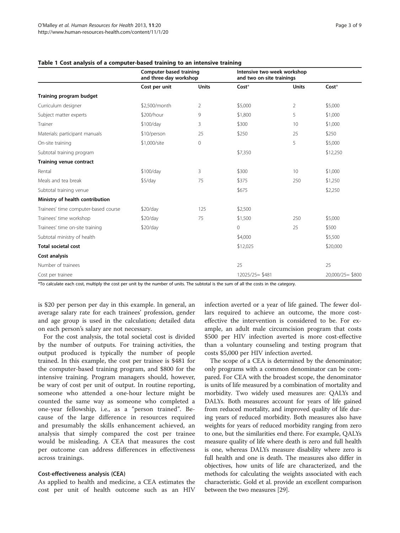|                                      | Computer-based training<br>and three-day workshop |                | Intensive two-week workshop<br>and two on-site trainings |                |                  |
|--------------------------------------|---------------------------------------------------|----------------|----------------------------------------------------------|----------------|------------------|
|                                      | Cost per unit                                     | <b>Units</b>   | Cost*                                                    | <b>Units</b>   | $Cost*$          |
| Training program budget              |                                                   |                |                                                          |                |                  |
| Curriculum designer                  | \$2.500/month                                     | $\overline{2}$ | \$5,000                                                  | $\overline{2}$ | \$5,000          |
| Subject matter experts               | \$200/hour                                        | 9              | \$1,800                                                  | 5              | \$1,000          |
| Trainer                              | \$100/day                                         | 3              | \$300                                                    | 10             | \$1,000          |
| Materials: participant manuals       | \$10/person                                       | 25             | \$250                                                    | 25             | \$250            |
| On-site training                     | \$1,000/site                                      | 0              |                                                          | 5              | \$5,000          |
| Subtotal training program            |                                                   |                | \$7,350                                                  |                | \$12,250         |
| <b>Training venue contract</b>       |                                                   |                |                                                          |                |                  |
| Rental                               | \$100/day                                         | 3              | \$300                                                    | 10             | \$1,000          |
| Meals and tea break                  | \$5/day                                           | 75             | \$375                                                    | 250            | \$1,250          |
| Subtotal training venue              |                                                   |                | \$675                                                    |                | \$2,250          |
| Ministry of health contribution      |                                                   |                |                                                          |                |                  |
| Trainees' time computer-based course | \$20/day                                          | 125            | \$2,500                                                  |                |                  |
| Trainees' time workshop              | \$20/day                                          | 75             | \$1,500                                                  | 250            | \$5,000          |
| Trainees' time on-site training      | \$20/day                                          |                | $\circ$                                                  | 25             | \$500            |
| Subtotal ministry of health          |                                                   |                | \$4,000                                                  |                | \$5,500          |
| <b>Total societal cost</b>           |                                                   |                | \$12,025                                                 |                | \$20,000         |
| Cost analysis                        |                                                   |                |                                                          |                |                  |
| Number of trainees                   |                                                   |                | 25                                                       |                | 25               |
| Cost per trainee                     |                                                   |                | 12025/25=\$481                                           |                | 20,000/25= \$800 |

# <span id="page-2-0"></span>Table 1 Cost analysis of a computer-based training to an intensive training

\*To calculate each cost, multiply the cost per unit by the number of units. The subtotal is the sum of all the costs in the category.

is \$20 per person per day in this example. In general, an average salary rate for each trainees' profession, gender and age group is used in the calculation; detailed data on each person's salary are not necessary.

For the cost analysis, the total societal cost is divided by the number of outputs. For training activities, the output produced is typically the number of people trained. In this example, the cost per trainee is \$481 for the computer-based training program, and \$800 for the intensive training. Program managers should, however, be wary of cost per unit of output. In routine reporting, someone who attended a one-hour lecture might be counted the same way as someone who completed a one-year fellowship, i.e., as a "person trained". Because of the large difference in resources required and presumably the skills enhancement achieved, an analysis that simply compared the cost per trainee would be misleading. A CEA that measures the cost per outcome can address differences in effectiveness across trainings.

#### Cost-effectiveness analysis (CEA)

As applied to health and medicine, a CEA estimates the cost per unit of health outcome such as an HIV infection averted or a year of life gained. The fewer dollars required to achieve an outcome, the more costeffective the intervention is considered to be. For example, an adult male circumcision program that costs \$500 per HIV infection averted is more cost-effective than a voluntary counseling and testing program that costs \$5,000 per HIV infection averted.

The scope of a CEA is determined by the denominator; only programs with a common denominator can be compared. For CEA with the broadest scope, the denominator is units of life measured by a combination of mortality and morbidity. Two widely used measures are: QALYs and DALYs. Both measures account for years of life gained from reduced mortality, and improved quality of life during years of reduced morbidity. Both measures also have weights for years of reduced morbidity ranging from zero to one, but the similarities end there. For example, QALYs measure quality of life where death is zero and full health is one, whereas DALYs measure disability where zero is full health and one is death. The measures also differ in objectives, how units of life are characterized, and the methods for calculating the weights associated with each characteristic. Gold et al. provide an excellent comparison between the two measures [\[29\]](#page-7-0).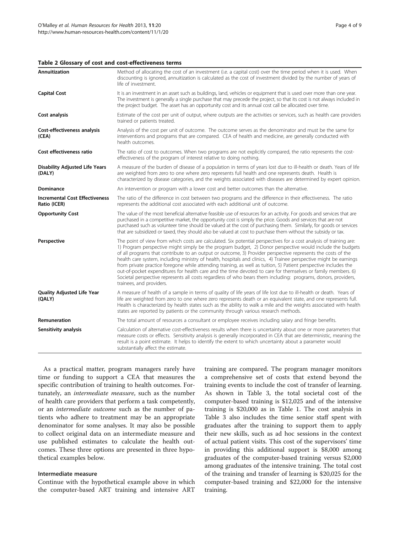#### <span id="page-3-0"></span>Table 2 Glossary of cost and cost-effectiveness terms

| Annuitization                                         | Method of allocating the cost of an investment (i.e. a capital cost) over the time period when it is used. When<br>discounting is ignored, annuitization is calculated as the cost of investment divided by the number of years of<br>life of investment.                                                                                                                                                                                                                                                                                                                                                                                                                                                                                                                                                                                              |
|-------------------------------------------------------|--------------------------------------------------------------------------------------------------------------------------------------------------------------------------------------------------------------------------------------------------------------------------------------------------------------------------------------------------------------------------------------------------------------------------------------------------------------------------------------------------------------------------------------------------------------------------------------------------------------------------------------------------------------------------------------------------------------------------------------------------------------------------------------------------------------------------------------------------------|
| <b>Capital Cost</b>                                   | It is an investment in an asset such as buildings, land, vehicles or equipment that is used over more than one year.<br>The investment is generally a single purchase that may precede the project, so that its cost is not always included in<br>the project budget. The asset has an opportunity cost and its annual cost call be allocated over time.                                                                                                                                                                                                                                                                                                                                                                                                                                                                                               |
| Cost analysis                                         | Estimate of the cost per unit of output, where outputs are the activities or services, such as health care providers<br>trained or patients treated.                                                                                                                                                                                                                                                                                                                                                                                                                                                                                                                                                                                                                                                                                                   |
| Cost-effectiveness analysis<br>(CEA)                  | Analysis of the cost per unit of outcome. The outcome serves as the denominator and must be the same for<br>interventions and programs that are compared. CEA of health and medicine, are generally conducted with<br>health outcomes.                                                                                                                                                                                                                                                                                                                                                                                                                                                                                                                                                                                                                 |
| Cost effectiveness ratio                              | The ratio of cost to outcomes. When two programs are not explicitly compared, the ratio represents the cost-<br>effectiveness of the program of interest relative to doing nothing.                                                                                                                                                                                                                                                                                                                                                                                                                                                                                                                                                                                                                                                                    |
| <b>Disability Adjusted Life Years</b><br>(DALY)       | A measure of the burden of disease of a population in terms of years lost due to ill-health or death. Years of life<br>are weighted from zero to one where zero represents full health and one represents death. Health is<br>characterized by disease categories, and the weights associated with diseases are determined by expert opinion.                                                                                                                                                                                                                                                                                                                                                                                                                                                                                                          |
| Dominance                                             | An intervention or program with a lower cost and better outcomes than the alternative.                                                                                                                                                                                                                                                                                                                                                                                                                                                                                                                                                                                                                                                                                                                                                                 |
| <b>Incremental Cost Effectiveness</b><br>Ratio (ICER) | The ratio of the difference in cost between two programs and the difference in their effectiveness. The ratio<br>represents the additional cost associated with each additional unit of outcome.                                                                                                                                                                                                                                                                                                                                                                                                                                                                                                                                                                                                                                                       |
| <b>Opportunity Cost</b>                               | The value of the most beneficial alternative feasible use of resources for an activity. For goods and services that are<br>purchased in a competitive market, the opportunity cost is simply the price. Goods and services that are not<br>purchased such as volunteer time should be valued at the cost of purchasing them. Similarly, for goods or services<br>that are subsidized or taxed, they should also be valued at cost to purchase them without the subsidy or tax.                                                                                                                                                                                                                                                                                                                                                                         |
| Perspective                                           | The point of view from which costs are calculated. Six potential perspectives for a cost analysis of training are:<br>1) Program perspective might simply be the program budget, 2) Donor perspective would include the budgets<br>of all programs that contribute to an output or outcome, 3) Provider perspective represents the costs of the<br>health care system, including ministry of health, hospitals and clinics, 4) Trainee perspective might be earnings<br>from private practice foregone while attending training, as well as tuition, 5) Patient perspective includes the<br>out-of-pocket expenditures for health care and the time devoted to care for themselves or family members. 6)<br>Societal perspective represents all costs regardless of who bears them including: programs, donors, providers,<br>trainees, and providers. |
| Quality Adjusted Life Year<br>(QALY)                  | A measure of health of a sample in terms of quality of life years of life lost due to ill-health or death. Years of<br>life are weighted from zero to one where zero represents death or an equivalent state, and one represents full.<br>Health is characterized by health states such as the ability to walk a mile and the weights associated with health<br>states are reported by patients or the community through various research methods.                                                                                                                                                                                                                                                                                                                                                                                                     |
| Remuneration                                          | The total amount of resources a consultant or employee receives including salary and fringe benefits.                                                                                                                                                                                                                                                                                                                                                                                                                                                                                                                                                                                                                                                                                                                                                  |
| Sensitivity analysis                                  | Calculation of alternative cost-effectiveness results when there is uncertainty about one or more parameters that<br>measure costs or effects. Sensitivity analysis is generally incorporated in CEA that are deterministic, meaning the<br>result is a point estimate. It helps to identify the extent to which uncertainty about a parameter would<br>substantially affect the estimate.                                                                                                                                                                                                                                                                                                                                                                                                                                                             |
|                                                       |                                                                                                                                                                                                                                                                                                                                                                                                                                                                                                                                                                                                                                                                                                                                                                                                                                                        |

As a practical matter, program managers rarely have time or funding to support a CEA that measures the specific contribution of training to health outcomes. Fortunately, an intermediate measure, such as the number of health care providers that perform a task competently, or an intermediate outcome such as the number of patients who adhere to treatment may be an appropriate denominator for some analyses. It may also be possible to collect original data on an intermediate measure and use published estimates to calculate the health outcomes. These three options are presented in three hypothetical examples below.

#### Intermediate measure

Continue with the hypothetical example above in which the computer-based ART training and intensive ART

training are compared. The program manager monitors a comprehensive set of costs that extend beyond the training events to include the cost of transfer of learning. As shown in Table [3](#page-4-0), the total societal cost of the computer-based training is \$12,025 and of the intensive training is \$20,000 as in Table [1.](#page-2-0) The cost analysis in Table [3](#page-4-0) also includes the time senior staff spent with graduates after the training to support them to apply their new skills, such as ad hoc sessions in the context of actual patient visits. This cost of the supervisors' time in providing this additional support is \$8,000 among graduates of the computer-based training versus \$2,000 among graduates of the intensive training. The total cost of the training and transfer of learning is \$20,025 for the computer-based training and \$22,000 for the intensive training.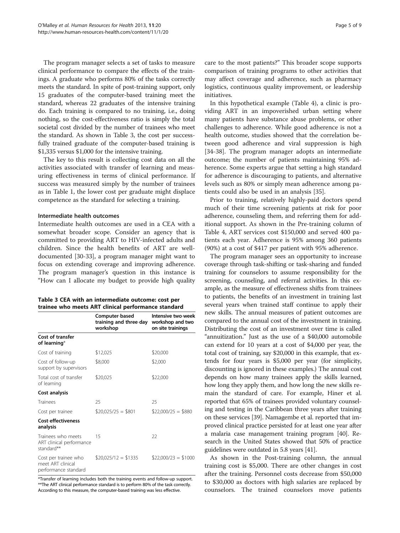<span id="page-4-0"></span>The program manager selects a set of tasks to measure clinical performance to compare the effects of the trainings. A graduate who performs 80% of the tasks correctly meets the standard. In spite of post-training support, only 15 graduates of the computer-based training meet the standard, whereas 22 graduates of the intensive training do. Each training is compared to no training, i.e., doing nothing, so the cost-effectiveness ratio is simply the total societal cost divided by the number of trainees who meet the standard. As shown in Table 3, the cost per successfully trained graduate of the computer-based training is \$1,335 versus \$1,000 for the intensive training.

The key to this result is collecting cost data on all the activities associated with transfer of learning and measuring effectiveness in terms of clinical performance. If success was measured simply by the number of trainees as in Table [1](#page-2-0), the lower cost per graduate might displace competence as the standard for selecting a training.

## Intermediate health outcomes

Intermediate health outcomes are used in a CEA with a somewhat broader scope. Consider an agency that is committed to providing ART to HIV-infected adults and children. Since the health benefits of ART are welldocumented [\[30](#page-7-0)-[33](#page-8-0)], a program manager might want to focus on extending coverage and improving adherence. The program manager's question in this instance is "How can I allocate my budget to provide high quality

|  |  | Table 3 CEA with an intermediate outcome: cost per  |  |
|--|--|-----------------------------------------------------|--|
|  |  | trainee who meets ART clinical performance standard |  |

|                                                                   | Computer-based<br>training and three-day<br>workshop | Intensive two-week<br>workshop and two<br>on-site trainings |
|-------------------------------------------------------------------|------------------------------------------------------|-------------------------------------------------------------|
| Cost of transfer<br>of learning*                                  |                                                      |                                                             |
| Cost of training                                                  | \$12,025                                             | \$20,000                                                    |
| Cost of follow-up<br>support by supervisors                       | \$8,000                                              | \$2,000                                                     |
| Total cost of transfer<br>of learning                             | \$20,025                                             | \$22,000                                                    |
| Cost analysis                                                     |                                                      |                                                             |
| Trainees                                                          | 25                                                   | 25                                                          |
| Cost per trainee                                                  | $$20,025/25 = $801$                                  | $$22,000/25 = $880$                                         |
| <b>Cost-effectiveness</b><br>analysis                             |                                                      |                                                             |
| Trainees who meets<br>ART clinical performance<br>standard**      | 15                                                   | 22                                                          |
| Cost per trainee who<br>meet ART clinical<br>performance standard | $$20,025/12 = $1335$                                 | $$22,000/23 = $1000$                                        |

\*Transfer of learning includes both the training events and follow-up support. \*\*The ART clinical performance standard is to perform 80% of the task correctly. According to this measure, the computer-based training was less effective.

care to the most patients?" This broader scope supports comparison of training programs to other activities that may affect coverage and adherence, such as pharmacy logistics, continuous quality improvement, or leadership initiatives.

In this hypothetical example (Table [4\)](#page-5-0), a clinic is providing ART in an impoverished urban setting where many patients have substance abuse problems, or other challenges to adherence. While good adherence is not a health outcome, studies showed that the correlation between good adherence and viral suppression is high [[34-38](#page-8-0)]. The program manager adopts an intermediate outcome; the number of patients maintaining 95% adherence. Some experts argue that setting a high standard for adherence is discouraging to patients, and alternative levels such as 80% or simply mean adherence among patients could also be used in an analysis [[35\]](#page-8-0).

Prior to training, relatively highly-paid doctors spend much of their time screening patients at risk for poor adherence, counseling them, and referring them for additional support. As shown in the Pre-training column of Table [4](#page-5-0), ART services cost \$150,000 and served 400 patients each year. Adherence is 95% among 360 patients (90%) at a cost of \$417 per patient with 95% adherence.

The program manager sees an opportunity to increase coverage through task-shifting or task-sharing and funded training for counselors to assume responsibility for the screening, counseling, and referral activities. In this example, as the measure of effectiveness shifts from trainees to patients, the benefits of an investment in training last several years when trained staff continue to apply their new skills. The annual measures of patient outcomes are compared to the annual cost of the investment in training. Distributing the cost of an investment over time is called "annuitization." Just as the use of a \$40,000 automobile can extend for 10 years at a cost of \$4,000 per year, the total cost of training, say \$20,000 in this example, that extends for four years is \$5,000 per year (for simplicity, discounting is ignored in these examples.) The annual cost depends on how many trainees apply the skills learned, how long they apply them, and how long the new skills remain the standard of care. For example, Hiner et al. reported that 65% of trainees provided voluntary counseling and testing in the Caribbean three years after training on these services [[39](#page-8-0)]. Namagembe et al. reported that improved clinical practice persisted for at least one year after a malaria case management training program [\[40\]](#page-8-0). Research in the United States showed that 50% of practice guidelines were outdated in 5.8 years [\[41\]](#page-8-0).

As shown in the Post-training column, the annual training cost is \$5,000. There are other changes in cost after the training. Personnel costs decrease from \$50,000 to \$30,000 as doctors with high salaries are replaced by counselors. The trained counselors move patients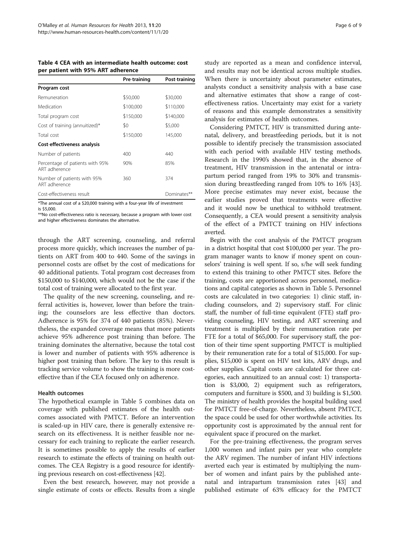<span id="page-5-0"></span>Table 4 CEA with an intermediate health outcome: cost per patient with 95% ART adherence

|                                                  | Pre-training | Post-training |
|--------------------------------------------------|--------------|---------------|
| Program cost                                     |              |               |
| Remuneration                                     | \$50,000     | \$30,000      |
| Medication                                       | \$100,000    | \$110,000     |
| Total program cost                               | \$150,000    | \$140,000     |
| Cost of training (annuitized)*                   | \$0          | \$5,000       |
| Total cost                                       | \$150,000    | 145,000       |
| Cost-effectiveness analysis                      |              |               |
| Number of patients                               | 400          | 440           |
| Percentage of patients with 95%<br>ART adherence | 90%          | 85%           |
| Number of patients with 95%<br>ART adherence     | 360          | 374           |
| Cost-effectiveness result                        |              | Dominates     |
|                                                  |              |               |

\*The annual cost of a \$20,000 training with a four-year life of investment is \$5,000.

\*\*No cost-effectiveness ratio is necessary, because a program with lower cost and higher effectiveness dominates the alternative.

through the ART screening, counseling, and referral process more quickly, which increases the number of patients on ART from 400 to 440. Some of the savings in personnel costs are offset by the cost of medications for 40 additional patients. Total program cost decreases from \$150,000 to \$140,000, which would not be the case if the total cost of training were allocated to the first year.

The quality of the new screening, counseling, and referral activities is, however, lower than before the training; the counselors are less effective than doctors. Adherence is 95% for 374 of 440 patients (85%). Nevertheless, the expanded coverage means that more patients achieve 95% adherence post training than before. The training dominates the alternative, because the total cost is lower and number of patients with 95% adherence is higher post training than before. The key to this result is tracking service volume to show the training is more costeffective than if the CEA focused only on adherence.

#### Health outcomes

The hypothetical example in Table [5](#page-6-0) combines data on coverage with published estimates of the health outcomes associated with PMTCT. Before an intervention is scaled-up in HIV care, there is generally extensive research on its effectiveness. It is neither feasible nor necessary for each training to replicate the earlier research. It is sometimes possible to apply the results of earlier research to estimate the effects of training on health outcomes. The CEA Registry is a good resource for identifying previous research on cost-effectiveness [[42\]](#page-8-0).

Even the best research, however, may not provide a single estimate of costs or effects. Results from a single study are reported as a mean and confidence interval, and results may not be identical across multiple studies. When there is uncertainty about parameter estimates, analysts conduct a sensitivity analysis with a base case and alternative estimates that show a range of costeffectiveness ratios. Uncertainty may exist for a variety of reasons and this example demonstrates a sensitivity analysis for estimates of health outcomes.

Considering PMTCT, HIV is transmitted during antenatal, delivery, and breastfeeding periods, but it is not possible to identify precisely the transmission associated with each period with available HIV testing methods. Research in the 1990's showed that, in the absence of treatment, HIV transmission in the antenatal or intrapartum period ranged from 19% to 30% and transmission during breastfeeding ranged from 10% to 16% [\[43](#page-8-0)]. More precise estimates may never exist, because the earlier studies proved that treatments were effective and it would now be unethical to withhold treatment. Consequently, a CEA would present a sensitivity analysis of the effect of a PMTCT training on HIV infections averted.

Begin with the cost analysis of the PMTCT program in a district hospital that cost \$100,000 per year. The program manager wants to know if money spent on counselors' training is well spent. If so, s/he will seek funding to extend this training to other PMTCT sites. Before the training, costs are apportioned across personnel, medications and capital categories as shown in Table [5](#page-6-0). Personnel costs are calculated in two categories: 1) clinic staff, including counselors, and 2) supervisory staff. For clinic staff, the number of full-time equivalent (FTE) staff providing counseling, HIV testing, and ART screening and treatment is multiplied by their remuneration rate per FTE for a total of \$65,000. For supervisory staff, the portion of their time spent supporting PMTCT is multiplied by their remuneration rate for a total of \$15,000. For supplies, \$15,000 is spent on HIV test kits, ARV drugs, and other supplies. Capital costs are calculated for three categories, each annuitized to an annual cost: 1) transportation is \$3,000, 2) equipment such as refrigerators, computers and furniture is \$500, and 3) building is \$1,500. The ministry of health provides the hospital building used for PMTCT free-of-charge. Nevertheless, absent PMTCT, the space could be used for other worthwhile activities. Its opportunity cost is approximated by the annual rent for equivalent space if procured on the market.

For the pre-training effectiveness, the program serves 1,000 women and infant pairs per year who complete the ARV regimen. The number of infant HIV infections averted each year is estimated by multiplying the number of women and infant pairs by the published antenatal and intrapartum transmission rates [[43\]](#page-8-0) and published estimate of 63% efficacy for the PMTCT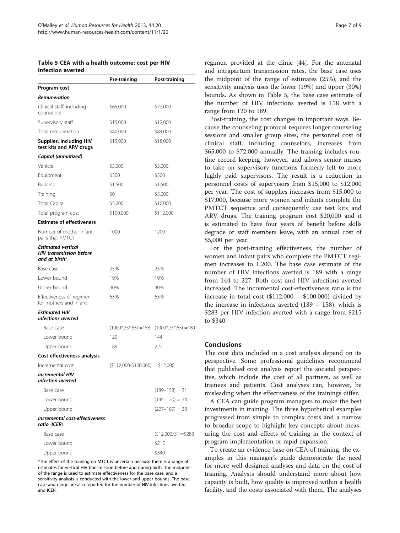<span id="page-6-0"></span>Table 5 CEA with a health outcome: cost per HIV infection averted

|                                                                                 | Pre-training                      | Post-training                                    |
|---------------------------------------------------------------------------------|-----------------------------------|--------------------------------------------------|
| Program cost                                                                    |                                   |                                                  |
| <b>Remuneration</b>                                                             |                                   |                                                  |
| Clinical staff, including<br>counselors                                         | \$65,000                          | \$72,000                                         |
| Supervisory staff                                                               | \$15,000                          | \$12,000                                         |
| Total remuneration                                                              | \$80,000                          | \$84,000                                         |
| Supplies, including HIV<br>test kits and ARV drugs                              | \$15,000                          | \$18,000                                         |
| Capital (annuitized)                                                            |                                   |                                                  |
| Vehicle                                                                         | \$3,000                           | \$3,000                                          |
| Equipment                                                                       | \$500                             | \$500                                            |
| <b>Building</b>                                                                 | \$1,500                           | \$1,500                                          |
| Training                                                                        | \$0                               | \$5,000                                          |
| <b>Total Capital</b>                                                            | \$5,000                           | \$10,000                                         |
| Total program cost                                                              | \$100,000                         | \$112,000                                        |
| <b>Estimate of effectiveness</b>                                                |                                   |                                                  |
| Number of mother infant<br>pairs that PMTCT                                     | 1000                              | 1200                                             |
| <b>Estimated vertical</b><br><b>HIV transmission before</b><br>and at birth $*$ |                                   |                                                  |
| Base case                                                                       | 25%                               | 25%                                              |
| Lower bound                                                                     | 19%                               | 19%                                              |
| Upper bound                                                                     | 30%                               | 30%                                              |
| Effectiveness of regimen<br>for mothers and infant                              | 63%                               | 63%                                              |
| <b>Estimated HIV</b><br>infections averted                                      |                                   |                                                  |
| Base case                                                                       | $(1000*.25*.63) = 158$            | $(1000$ <sup>*</sup> .25 <sup>*</sup> .63) = 189 |
| Lower bound                                                                     | 120                               | 144                                              |
| Upper bound                                                                     | 189                               | 227                                              |
| Cost-effectiveness analysis                                                     |                                   |                                                  |
| Incremental cost                                                                | $(5112,000 - 5100,000) = 512,000$ |                                                  |
| <b>Incremental HIV</b><br>infection averted                                     |                                   |                                                  |
| Base case                                                                       |                                   | $(189 - 158) = 31$                               |
| Lower bound                                                                     |                                   | $(144 - 120) = 24$                               |
| Upper bound                                                                     |                                   | $(227-189) = 38$                                 |
| Incremental cost-effectiveness<br>ratio (ICER)                                  |                                   |                                                  |
| Base case                                                                       |                                   | $($12,000/31)=$283$                              |
| Lower bound                                                                     |                                   | \$215                                            |
| Upper bound                                                                     |                                   | \$340                                            |

\*The effect of the training on MTCT is uncertain because there is a range of estimates for vertical HIV transmission before and during birth. The midpoint of the range is used to estimate effectiveness for the base case, and a sensitivity analysis is conducted with the lower and upper bounds. The base case and range are also reported for the number of HIV infections averted and ICER.

regimen provided at the clinic [\[44](#page-8-0)]. For the antenatal and intrapartum transmission rates, the base case uses the midpoint of the range of estimates (25%), and the sensitivity analysis uses the lower (19%) and upper (30%) bounds. As shown in Table 5, the base case estimate of the number of HIV infections averted is 158 with a range from 120 to 189.

Post-training, the cost changes in important ways. Because the counseling protocol requires longer counseling sessions and smaller group sizes, the personnel cost of clinical staff, including counselors, increases from \$65,000 to \$72,000 annually. The training includes routine record keeping, however, and allows senior nurses to take on supervisory functions formerly left to more highly paid supervisors. The result is a reduction in personnel costs of supervisors from \$15,000 to \$12,000 per year. The cost of supplies increases from \$15,000 to \$17,000, because more women and infants complete the PMTCT sequence and consequently use test kits and ARV drugs. The training program cost \$20,000 and it is estimated to have four years of benefit before skills degrade or staff members leave, with an annual cost of \$5,000 per year.

For the post-training effectiveness, the number of women and infant pairs who complete the PMTCT regimen increases to 1,200. The base case estimate of the number of HIV infections averted is 189 with a range from 144 to 227. Both cost and HIV infections averted increased. The incremental cost-effectiveness ratio is the increase in total cost  $(\$112,000 - \$100,000)$  divided by the increase in infections averted (189 – 158), which is \$283 per HIV infection averted with a range from \$215 to \$340.

# Conclusions

The cost data included in a cost analysis depend on its perspective. Some professional guidelines recommend that published cost analysis report the societal perspective, which include the cost of all partners, as well as trainees and patients. Cost analyses can, however, be misleading when the effectiveness of the trainings differ.

A CEA can guide program managers to make the best investments in training. The three hypothetical examples progressed from simple to complex costs and a narrow to broader scope to highlight key concepts about measuring the cost and effects of training in the context of program implementation or rapid expansion.

To create an evidence base on CEA of training, the examples in this manager's guide demonstrate the need for more well-designed analyses and data on the cost of training. Analysts should understand more about how capacity is built, how quality is improved within a health facility, and the costs associated with them. The analyses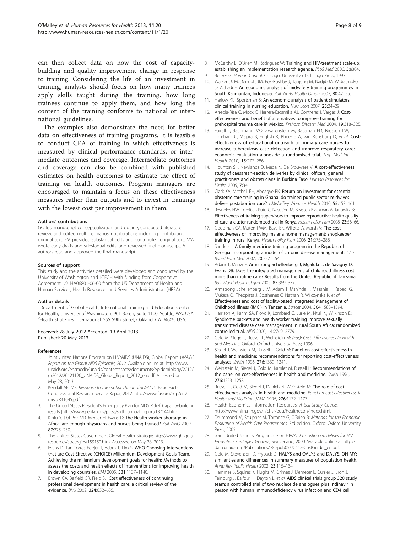<span id="page-7-0"></span>can then collect data on how the cost of capacitybuilding and quality improvement change in response to training. Considering the life of an investment in training, analysts should focus on how many trainees apply skills taught during the training, how long trainees continue to apply them, and how long the content of the training conforms to national or international guidelines.

The examples also demonstrate the need for better data on effectiveness of training programs. It is feasible to conduct CEA of training in which effectiveness is measured by clinical performance standards, or intermediate outcomes and coverage. Intermediate outcomes and coverage can also be combined with published estimates on health outcomes to estimate the effect of training on health outcomes. Program managers are encouraged to maintain a focus on these effectiveness measures rather than outputs and to invest in trainings with the lowest cost per improvement in them.

#### Authors' contributions

GO led manuscript conceptualization and outline, conducted literature review, and edited multiple manuscript iterations including contributing original text. EM provided substantial edits and contributed original text. MW wrote early drafts and substantial edits, and reviewed final manuscript. All authors read and approved the final manuscript.

#### Sources of support

This study and the activities detailed were developed and conducted by the University of Washington and I-TECH with funding from Cooperative Agreement U91HA06801-06-00 from the US Department of Health and Human Services, Health Resources and Services Administration (HRSA).

#### Author details

<sup>1</sup>Department of Global Health, International Training and Education Center for Health, University of Washington, 901 Boren, Suite 1100, Seattle, WA, USA. <sup>2</sup>Health Strategies International, 555 59th Street, Oakland, CA 94609, USA.

#### Received: 28 July 2012 Accepted: 19 April 2013 Published: 20 May 2013

#### References

- 1. Joint United Nations Program on HIV/AIDS (UNAIDS), Global Report: UNAIDS Report on the Global AIDS Epidemic, 2012. Available online at: [http://www.](http://www.unaids.org/en/media/unaids/contentassets/documents/epidemiology/2012/gr2012/20121120_UNAIDS_Global_Report_2012_en.pdf) [unaids.org/en/media/unaids/contentassets/documents/epidemiology/2012/](http://www.unaids.org/en/media/unaids/contentassets/documents/epidemiology/2012/gr2012/20121120_UNAIDS_Global_Report_2012_en.pdf) [gr2012/20121120\\_UNAIDS\\_Global\\_Report\\_2012\\_en.pdf.](http://www.unaids.org/en/media/unaids/contentassets/documents/epidemiology/2012/gr2012/20121120_UNAIDS_Global_Report_2012_en.pdf) Accessed on May 28, 2013.
- Kendall AE: U.S. Response to the Global Threat ofHIV/AIDS. Basic Facts. Congressional Research Service Repor; 2012. [http://www.fas.org/sgp/crs/](http://www.fas.org/sgp/crs/misc/R41645.pdf) [misc/R41645.pdf](http://www.fas.org/sgp/crs/misc/R41645.pdf).
- 3. The United States President's Emergency Plan for AIDS Relief: Capacity-building results [[http://www.pepfar.gov/press/sixth\\_annual\\_report/137144.htm\]](http://www.pepfar.gov/press/sixth_annual_report/137144.htm)
- 4. Kinfu Y, Dal Poz MR, Mercer H, Evans D: The Health worker shortage in Africa: are enough physicians and nurses being trained? Bull WHO 2009, 87:225–230.
- 5. The United States Government Global Health Strategy: [http://www.ghi.gov/](http://www.ghi.gov/resources/strategies/159150.htm) [resources/strategies/159150.htm.](http://www.ghi.gov/resources/strategies/159150.htm) Accessed on May 28, 2013.
- 6. Evans D, Tan-Torres Edejer T, Adam T, Lim S: WHO Choosing Interventions that are Cost Effective (CHOICE) Millennium Development Goals Team. Achieving the millennium development goals for health: Methods to assess the costs and health effects of interventions for improving health in developing countries. BMJ 2005, 331:1137–1140.
- Brown CA, Belfield CR, Field SJ: Cost effectiveness of continuing professional development in health care: a critical review of the evidence. BMJ 2002, 324:652–655.
- 8. McCarthy E, O'Brien M, Rodriguez W: Training and HIV-treatment scale-up: establishing an implementation research agenda. PLoS Med 2006, 3:e304.
- 9. Becker G: Human Capital. Chicago: University of Chicago Press; 1993.
- 10. Walker D, McDermott JM, Fox-Rushby J, Tanjung M, Nadjib M, Widiatmoko D, Achadi E: An economic analysis of midwifery training programmes in South Kalimantan, Indonesia. Bull World Health Organ 2002, 80:47–55.
- 11. Harlow KC, Sportsman S: An economic analysis of patient simulators clinical training in nursing education. Nurs Econ 2007, 25:24–29.
- 12. Arreola-Risa C, Mock C, Herrera-Escamilla AJ, Contreras I, Vargas J: Costeffectiveness and benefit of alternatives to improve training for prehospital trauma care in Mexico. Prehosp Disaster Med 2004, 19:318–325.
- 13. Fairall L, Bachmann MO, Zwarenstein M, Bateman ED, Niessen LW, Lombard C, Majara B, English R, Bheekie A, van Rensburg D, et al: Costeffectiveness of educational outreach to primary care nurses to increase tuberculosis case detection and improve respiratory care: economic evaluation alongside a randomised trial. Trop Med Int Health 2010, 15:277–286.
- 14. Hounton SH, Newlands D, Meda N, De Brouwere V: A cost-effectiveness study of caesarean-section deliveries by clinical officers, general practitioners and obstetricians in Burkina Faso. Human Resources for Health 2009, 7:34.
- 15. Clark KA, Mitchell EH, Aboagye PK: Return on investment for essential obstetric care training in Ghana: do trained public sector midwives deliver postabortion care? J Midwifery Womens Health 2010, 55:153-161.
- 16. Reynolds HW, Toroitich-Ruto C, Nasution M, Beaston-Blaakman A, Janowitz B: Effectiveness of training supervisors to improve reproductive health quality of care: a cluster-randomized trial in Kenya. Health Policy Plan 2008, 23:56–66.
- 17. Goodman CA, Mutemi WM, Baya EK, Willetts A, Marsh V: The costeffectiveness of improving malaria home management: shopkeeper training in rural Kenya. Health Policy Plan 2006, 21:275–288.
- 18. Sanders J: A family medicine training program in the Republic of Georgia: incorporating a model of chronic disease management. J Am Board Fam Med 2007, 20:557–564.
- 19. Adam T, Manzi F: Armstrong Schellenberg J, Mgalula L, de Savigny D, Evans DB: Does the integrated management of childhood illness cost more than routine care? Results from the United Republic of Tanzania. Bull World Health Organ 2005, 83:369–377.
- 20. Armstrong Schellenberg JRM, Adam T, Mshinda H, Masanja H, Kabadi G, Mukasa O, Theopista J, Sosthenes C, Nathan R, Wilczynska K, et al: Effectiveness and cost of facility-based Integrated Management of Childhood Illness (IMCI) in Tanzania. Lancet 2004, 364:1583–1594.
- 21. Harrison A, Karim SA, Floyd K, Lombard C, Lurie M, Ntuli N, Wilkinson D: Syndrome packets and health worker training improve sexually transmitted disease case management in rural South Africa: randomized controlled trial. AIDS 2000, 14:2769–2779.
- 22. Gold M, Siegel J, Russell L, Weinstein M: (Eds): Cost-Effectiveness in Health and Medicine. Oxford: Oxford University Press; 1996.
- 23. Siegel J, Weinstein M, Russell L, Gold M: Panel on cost-effectiveness in health and medicine: recommendations for reporting cost-effectiveness analyses. JAMA 1996, 276:1339–1341.
- 24. Weinstein M, Siegel J, Gold M, Kamlet M, Russell L: Recommendations of the panel on cost-effectiveness in health and medicine. JAMA 1996, 276:1253–1258.
- 25. Russell L, Gold M, Siegel J, Daniels N, Weinstein M: The role of costeffectiveness analysis in health and medicine. Panel on cost-effectiveness in Health and Medicine. JAMA 1996, 276:1172–1177.
- 26. Health Economics Information Resources: A Self-Study Course. <http://www.nlm.nih.gov/nichsr/edu/healthecon/index.html>.
- 27. Drummond M, Sculpher M, Torrance G, O'Brien B: Methods for the Economic Evaluation of Health Care Programmes. 3rd edition. Oxford: Oxford University Press; 2005.
- 28. Joint United Nations Programme on HIV/AIDS: Costing Guidelines for HIV Prevention Strategies. Geneva, Switzerland; 2000 Available online at [http://](http://data.unaids.org/Publications/IRC-pub05/JC412-CostGuidel_en.pdf) [data.unaids.org/Publications/IRC-pub05/JC412-CostGuidel\\_en.pdf.](http://data.unaids.org/Publications/IRC-pub05/JC412-CostGuidel_en.pdf)
- 29. Gold M, Stevenson D, Fryback D: HALYS and QALYS and DALYS, OH MY: similarities and differences in summary measures of population health. Annu Rev Public Health 2002, 23:115–134.
- 30. Hammer S, Squires K, Hughs M, Grimes J, Demeter L, Currier J, Eron J, Feinburg J, Balfour H, Dayton L, et al: AIDS clinical trials group 320 study team: a controlled trial of two nucleoside analogues plus indinavir in person with human immunodeficiency virus infection and CD4 cell